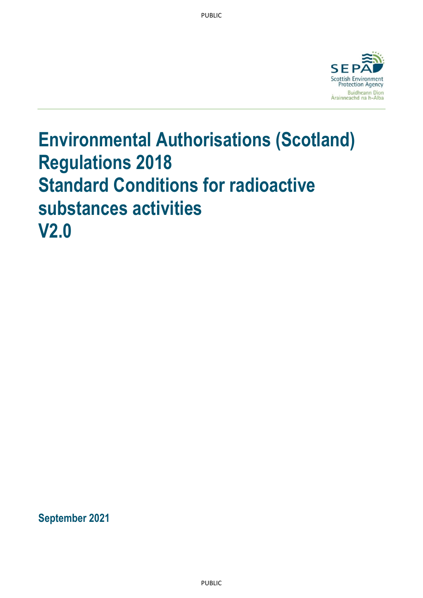

# **Environmental Authorisations (Scotland) Regulations 2018 Standard Conditions for radioactive substances activities V2.0**

**September 2021**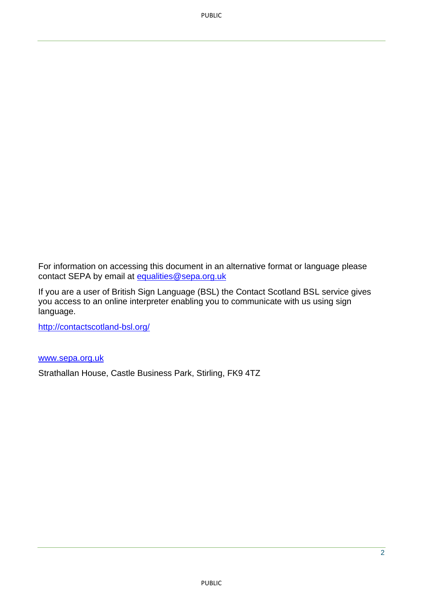PUBLIC

For information on accessing this document in an alternative format or language please contact SEPA by email at [equalities@sepa.org.uk](mailto:equalities@sepa.org.uk)

If you are a user of British Sign Language (BSL) the Contact Scotland BSL service gives you access to an online interpreter enabling you to communicate with us using sign language.

<http://contactscotland-bsl.org/>

#### [www.sepa.org.uk](http://www.sepa.org.uk/)

Strathallan House, Castle Business Park, Stirling, FK9 4TZ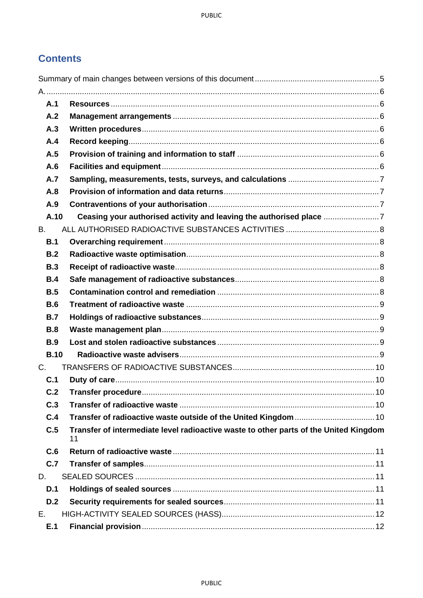# **Contents**

| A.1         |                                                                                             |    |
|-------------|---------------------------------------------------------------------------------------------|----|
| A.2         |                                                                                             |    |
| A.3         |                                                                                             |    |
| A.4         |                                                                                             |    |
| A.5         |                                                                                             |    |
| A.6         |                                                                                             |    |
| A.7         |                                                                                             |    |
| A.8         |                                                                                             |    |
| A.9         |                                                                                             |    |
| A.10        | Ceasing your authorised activity and leaving the authorised place                           |    |
| В.          |                                                                                             |    |
| B.1         |                                                                                             |    |
| B.2         |                                                                                             |    |
| <b>B.3</b>  |                                                                                             |    |
| B.4         |                                                                                             |    |
| B.5         |                                                                                             |    |
| <b>B.6</b>  |                                                                                             |    |
| B.7         |                                                                                             |    |
| <b>B.8</b>  |                                                                                             |    |
| <b>B.9</b>  |                                                                                             |    |
| <b>B.10</b> |                                                                                             |    |
| $C_{1}$     |                                                                                             |    |
| C.1         |                                                                                             |    |
| C.2         |                                                                                             | 10 |
| C.3         |                                                                                             |    |
| C.4         |                                                                                             |    |
| C.5         | Transfer of intermediate level radioactive waste to other parts of the United Kingdom<br>11 |    |
| C.6         |                                                                                             |    |
| C.7         |                                                                                             |    |
| D.          |                                                                                             |    |
| D.1         |                                                                                             |    |
| D.2         |                                                                                             |    |
| Е.          |                                                                                             |    |
| E.1         |                                                                                             |    |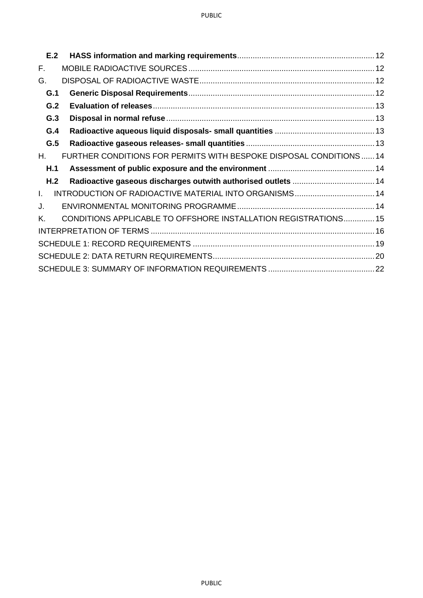| E.2          |                                                                     |  |
|--------------|---------------------------------------------------------------------|--|
| F.           |                                                                     |  |
| G.           |                                                                     |  |
| G.1          |                                                                     |  |
| G.2          |                                                                     |  |
| G.3          |                                                                     |  |
| G.4          |                                                                     |  |
| G.5          |                                                                     |  |
| Η.           | FURTHER CONDITIONS FOR PERMITS WITH BESPOKE DISPOSAL CONDITIONS  14 |  |
| H.1          |                                                                     |  |
|              |                                                                     |  |
| H.2          |                                                                     |  |
| $\mathbf{L}$ |                                                                     |  |
| J.           |                                                                     |  |
| Κ.           | CONDITIONS APPLICABLE TO OFFSHORE INSTALLATION REGISTRATIONS 15     |  |
|              |                                                                     |  |
|              |                                                                     |  |
|              |                                                                     |  |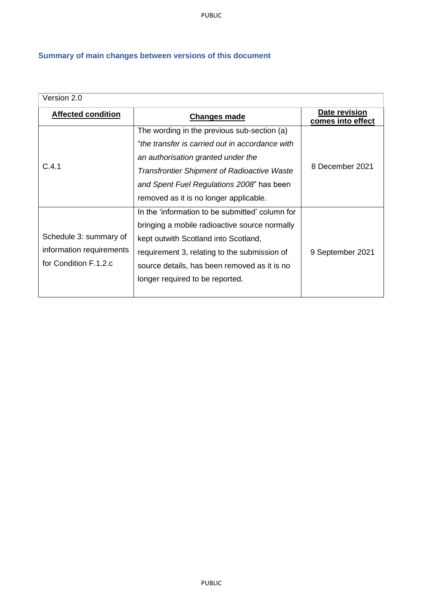PUBLIC

# <span id="page-4-0"></span>**Summary of main changes between versions of this document**

| Version 2.0                                      |                                                    |                                    |  |
|--------------------------------------------------|----------------------------------------------------|------------------------------------|--|
| <b>Affected condition</b><br><b>Changes made</b> |                                                    | Date revision<br>comes into effect |  |
|                                                  | The wording in the previous sub-section (a)        |                                    |  |
|                                                  | "the transfer is carried out in accordance with    |                                    |  |
|                                                  | an authorisation granted under the                 |                                    |  |
| C.4.1                                            | <b>Transfrontier Shipment of Radioactive Waste</b> | 8 December 2021                    |  |
|                                                  | and Spent Fuel Regulations 2008" has been          |                                    |  |
|                                                  | removed as it is no longer applicable.             |                                    |  |
|                                                  | In the 'information to be submitted' column for    |                                    |  |
|                                                  | bringing a mobile radioactive source normally      |                                    |  |
| Schedule 3: summary of                           | kept outwith Scotland into Scotland,               |                                    |  |
| information requirements                         | requirement 3, relating to the submission of       | 9 September 2021                   |  |
| for Condition F.1.2.c                            | source details, has been removed as it is no       |                                    |  |
|                                                  | longer required to be reported.                    |                                    |  |
|                                                  |                                                    |                                    |  |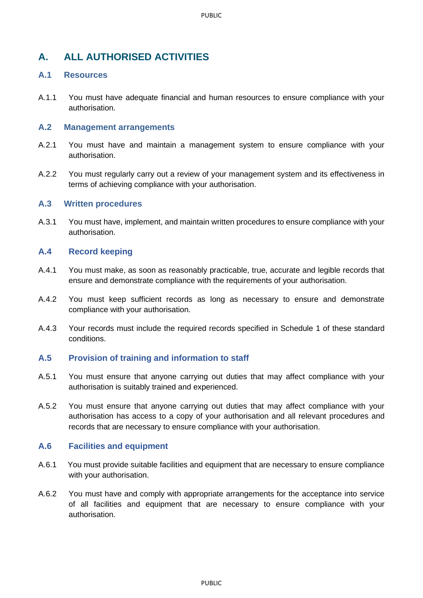# <span id="page-5-0"></span>**A. ALL AUTHORISED ACTIVITIES**

# <span id="page-5-1"></span>**A.1 Resources**

A.1.1 You must have adequate financial and human resources to ensure compliance with your authorisation.

#### <span id="page-5-2"></span>**A.2 Management arrangements**

- A.2.1 You must have and maintain a management system to ensure compliance with your authorisation.
- A.2.2 You must regularly carry out a review of your management system and its effectiveness in terms of achieving compliance with your authorisation.

#### <span id="page-5-3"></span>**A.3 Written procedures**

A.3.1 You must have, implement, and maintain written procedures to ensure compliance with your authorisation.

## <span id="page-5-4"></span>**A.4 Record keeping**

- A.4.1 You must make, as soon as reasonably practicable, true, accurate and legible records that ensure and demonstrate compliance with the requirements of your authorisation.
- A.4.2 You must keep sufficient records as long as necessary to ensure and demonstrate compliance with your authorisation.
- A.4.3 Your records must include the required records specified in Schedule 1 of these standard conditions.

## <span id="page-5-5"></span>**A.5 Provision of training and information to staff**

- A.5.1 You must ensure that anyone carrying out duties that may affect compliance with your authorisation is suitably trained and experienced.
- A.5.2 You must ensure that anyone carrying out duties that may affect compliance with your authorisation has access to a copy of your authorisation and all relevant procedures and records that are necessary to ensure compliance with your authorisation.

## <span id="page-5-6"></span>**A.6 Facilities and equipment**

- A.6.1 You must provide suitable facilities and equipment that are necessary to ensure compliance with your authorisation.
- A.6.2 You must have and comply with appropriate arrangements for the acceptance into service of all facilities and equipment that are necessary to ensure compliance with your authorisation.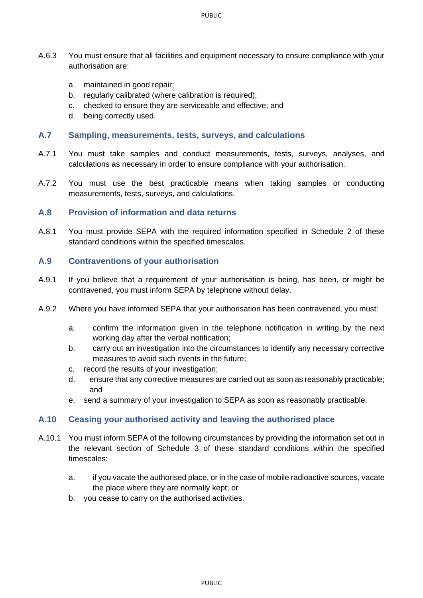- A.6.3 You must ensure that all facilities and equipment necessary to ensure compliance with your authorisation are:
	- a. maintained in good repair;
	- b. regularly calibrated (where calibration is required);
	- c. checked to ensure they are serviceable and effective; and
	- d. being correctly used.

#### <span id="page-6-0"></span>**A.7 Sampling, measurements, tests, surveys, and calculations**

- A.7.1 You must take samples and conduct measurements, tests, surveys, analyses, and calculations as necessary in order to ensure compliance with your authorisation.
- A.7.2 You must use the best practicable means when taking samples or conducting measurements, tests, surveys, and calculations.

#### <span id="page-6-1"></span>**A.8 Provision of information and data returns**

A.8.1 You must provide SEPA with the required information specified in Schedule 2 of these standard conditions within the specified timescales.

#### <span id="page-6-2"></span>**A.9 Contraventions of your authorisation**

- A.9.1 If you believe that a requirement of your authorisation is being, has been, or might be contravened, you must inform SEPA by telephone without delay.
- A.9.2 Where you have informed SEPA that your authorisation has been contravened, you must:
	- a. confirm the information given in the telephone notification in writing by the next working day after the verbal notification;
	- b. carry out an investigation into the circumstances to identify any necessary corrective measures to avoid such events in the future;
	- c. record the results of your investigation;
	- d. ensure that any corrective measures are carried out as soon as reasonably practicable; and
	- e. send a summary of your investigation to SEPA as soon as reasonably practicable.

#### <span id="page-6-3"></span>**A.10 Ceasing your authorised activity and leaving the authorised place**

- A.10.1 You must inform SEPA of the following circumstances by providing the information set out in the relevant section of Schedule 3 of these standard conditions within the specified timescales:
	- a. if you vacate the authorised place, or in the case of mobile radioactive sources, vacate the place where they are normally kept; or
	- b. you cease to carry on the authorised activities.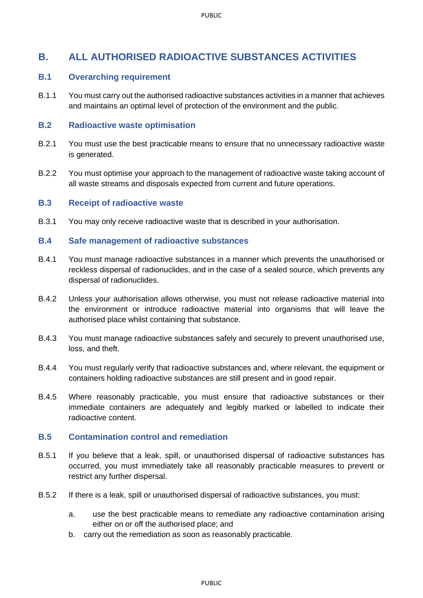# <span id="page-7-0"></span>**B. ALL AUTHORISED RADIOACTIVE SUBSTANCES ACTIVITIES**

## <span id="page-7-1"></span>**B.1 Overarching requirement**

B.1.1 You must carry out the authorised radioactive substances activities in a manner that achieves and maintains an optimal level of protection of the environment and the public.

## <span id="page-7-2"></span>**B.2 Radioactive waste optimisation**

- B.2.1 You must use the best practicable means to ensure that no unnecessary radioactive waste is generated.
- B.2.2 You must optimise your approach to the management of radioactive waste taking account of all waste streams and disposals expected from current and future operations.

#### <span id="page-7-3"></span>**B.3 Receipt of radioactive waste**

B.3.1 You may only receive radioactive waste that is described in your authorisation.

#### <span id="page-7-4"></span>**B.4 Safe management of radioactive substances**

- B.4.1 You must manage radioactive substances in a manner which prevents the unauthorised or reckless dispersal of radionuclides, and in the case of a sealed source, which prevents any dispersal of radionuclides.
- B.4.2 Unless your authorisation allows otherwise, you must not release radioactive material into the environment or introduce radioactive material into organisms that will leave the authorised place whilst containing that substance.
- B.4.3 You must manage radioactive substances safely and securely to prevent unauthorised use, loss, and theft.
- B.4.4 You must regularly verify that radioactive substances and, where relevant, the equipment or containers holding radioactive substances are still present and in good repair.
- B.4.5 Where reasonably practicable, you must ensure that radioactive substances or their immediate containers are adequately and legibly marked or labelled to indicate their radioactive content.

## <span id="page-7-5"></span>**B.5 Contamination control and remediation**

- B.5.1 If you believe that a leak, spill, or unauthorised dispersal of radioactive substances has occurred, you must immediately take all reasonably practicable measures to prevent or restrict any further dispersal.
- B.5.2 If there is a leak, spill or unauthorised dispersal of radioactive substances, you must:
	- a. use the best practicable means to remediate any radioactive contamination arising either on or off the authorised place; and
	- b. carry out the remediation as soon as reasonably practicable.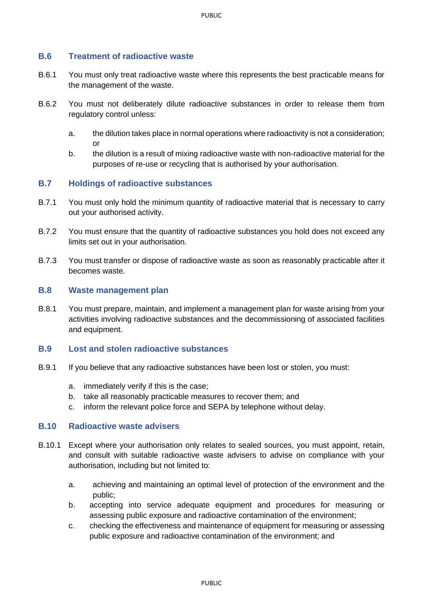## <span id="page-8-0"></span>**B.6 Treatment of radioactive waste**

- B.6.1 You must only treat radioactive waste where this represents the best practicable means for the management of the waste.
- B.6.2 You must not deliberately dilute radioactive substances in order to release them from regulatory control unless:
	- a. the dilution takes place in normal operations where radioactivity is not a consideration; or
	- b. the dilution is a result of mixing radioactive waste with non-radioactive material for the purposes of re-use or recycling that is authorised by your authorisation.

#### <span id="page-8-1"></span>**B.7 Holdings of radioactive substances**

- B.7.1 You must only hold the minimum quantity of radioactive material that is necessary to carry out your authorised activity.
- B.7.2 You must ensure that the quantity of radioactive substances you hold does not exceed any limits set out in your authorisation.
- B.7.3 You must transfer or dispose of radioactive waste as soon as reasonably practicable after it becomes waste.

#### <span id="page-8-2"></span>**B.8 Waste management plan**

B.8.1 You must prepare, maintain, and implement a management plan for waste arising from your activities involving radioactive substances and the decommissioning of associated facilities and equipment.

#### <span id="page-8-3"></span>**B.9 Lost and stolen radioactive substances**

- B.9.1 If you believe that any radioactive substances have been lost or stolen, you must:
	- a. immediately verify if this is the case;
	- b. take all reasonably practicable measures to recover them; and
	- c. inform the relevant police force and SEPA by telephone without delay.

#### <span id="page-8-4"></span>**B.10 Radioactive waste advisers**

- B.10.1 Except where your authorisation only relates to sealed sources, you must appoint, retain, and consult with suitable radioactive waste advisers to advise on compliance with your authorisation, including but not limited to:
	- a. achieving and maintaining an optimal level of protection of the environment and the public;
	- b. accepting into service adequate equipment and procedures for measuring or assessing public exposure and radioactive contamination of the environment;
	- c. checking the effectiveness and maintenance of equipment for measuring or assessing public exposure and radioactive contamination of the environment; and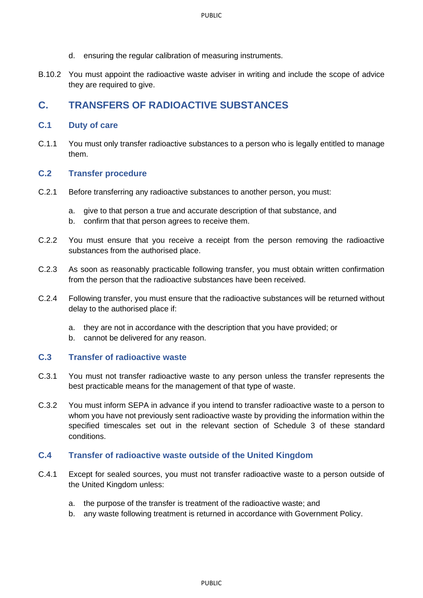- d. ensuring the regular calibration of measuring instruments.
- B.10.2 You must appoint the radioactive waste adviser in writing and include the scope of advice they are required to give.

# <span id="page-9-0"></span>**C. TRANSFERS OF RADIOACTIVE SUBSTANCES**

#### <span id="page-9-1"></span>**C.1 Duty of care**

C.1.1 You must only transfer radioactive substances to a person who is legally entitled to manage them.

#### <span id="page-9-2"></span>**C.2 Transfer procedure**

- C.2.1 Before transferring any radioactive substances to another person, you must:
	- a. give to that person a true and accurate description of that substance, and
	- b. confirm that that person agrees to receive them.
- C.2.2 You must ensure that you receive a receipt from the person removing the radioactive substances from the authorised place.
- C.2.3 As soon as reasonably practicable following transfer, you must obtain written confirmation from the person that the radioactive substances have been received.
- C.2.4 Following transfer, you must ensure that the radioactive substances will be returned without delay to the authorised place if:
	- a. they are not in accordance with the description that you have provided; or
	- b. cannot be delivered for any reason.

## <span id="page-9-3"></span>**C.3 Transfer of radioactive waste**

- C.3.1 You must not transfer radioactive waste to any person unless the transfer represents the best practicable means for the management of that type of waste.
- C.3.2 You must inform SEPA in advance if you intend to transfer radioactive waste to a person to whom you have not previously sent radioactive waste by providing the information within the specified timescales set out in the relevant section of Schedule 3 of these standard conditions.

#### <span id="page-9-4"></span>**C.4 Transfer of radioactive waste outside of the United Kingdom**

- C.4.1 Except for sealed sources, you must not transfer radioactive waste to a person outside of the United Kingdom unless:
	- a. the purpose of the transfer is treatment of the radioactive waste; and
	- b. any waste following treatment is returned in accordance with Government Policy.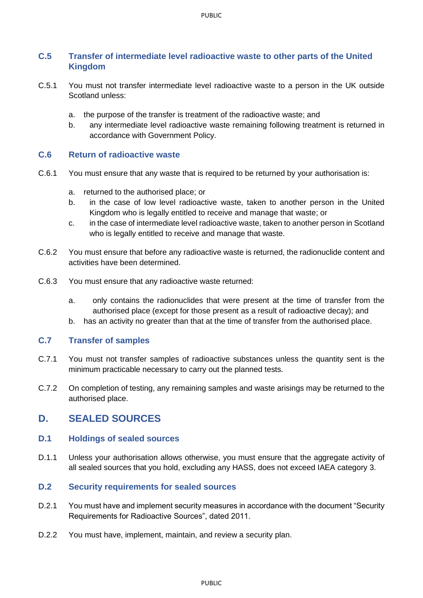# <span id="page-10-0"></span>**C.5 Transfer of intermediate level radioactive waste to other parts of the United Kingdom**

- C.5.1 You must not transfer intermediate level radioactive waste to a person in the UK outside Scotland unless:
	- a. the purpose of the transfer is treatment of the radioactive waste; and
	- b. any intermediate level radioactive waste remaining following treatment is returned in accordance with Government Policy.

#### <span id="page-10-1"></span>**C.6 Return of radioactive waste**

- C.6.1 You must ensure that any waste that is required to be returned by your authorisation is:
	- a. returned to the authorised place; or
	- b. in the case of low level radioactive waste, taken to another person in the United Kingdom who is legally entitled to receive and manage that waste; or
	- c. in the case of intermediate level radioactive waste, taken to another person in Scotland who is legally entitled to receive and manage that waste.
- C.6.2 You must ensure that before any radioactive waste is returned, the radionuclide content and activities have been determined.
- C.6.3 You must ensure that any radioactive waste returned:
	- a. only contains the radionuclides that were present at the time of transfer from the authorised place (except for those present as a result of radioactive decay); and
	- b. has an activity no greater than that at the time of transfer from the authorised place.

#### <span id="page-10-2"></span>**C.7 Transfer of samples**

- C.7.1 You must not transfer samples of radioactive substances unless the quantity sent is the minimum practicable necessary to carry out the planned tests.
- C.7.2 On completion of testing, any remaining samples and waste arisings may be returned to the authorised place.

# <span id="page-10-3"></span>**D. SEALED SOURCES**

#### <span id="page-10-4"></span>**D.1 Holdings of sealed sources**

D.1.1 Unless your authorisation allows otherwise, you must ensure that the aggregate activity of all sealed sources that you hold, excluding any HASS, does not exceed IAEA category 3.

#### <span id="page-10-5"></span>**D.2 Security requirements for sealed sources**

- D.2.1 You must have and implement security measures in accordance with the document "Security Requirements for Radioactive Sources", dated 2011.
- D.2.2 You must have, implement, maintain, and review a security plan.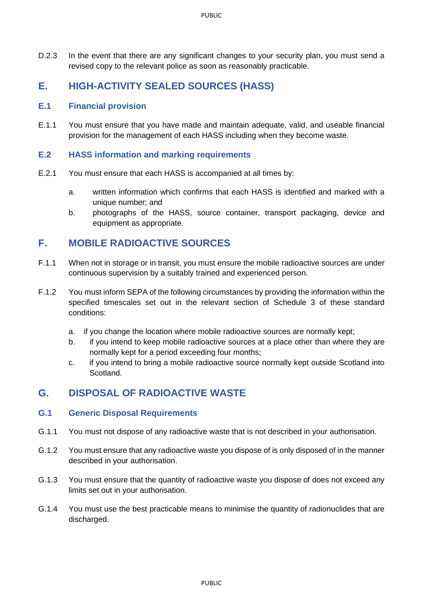D.2.3 In the event that there are any significant changes to your security plan, you must send a revised copy to the relevant police as soon as reasonably practicable.

# <span id="page-11-0"></span>**E. HIGH-ACTIVITY SEALED SOURCES (HASS)**

## <span id="page-11-1"></span>**E.1 Financial provision**

E.1.1 You must ensure that you have made and maintain adequate, valid, and useable financial provision for the management of each HASS including when they become waste.

## <span id="page-11-2"></span>**E.2 HASS information and marking requirements**

- E.2.1 You must ensure that each HASS is accompanied at all times by:
	- a. written information which confirms that each HASS is identified and marked with a unique number; and
	- b. photographs of the HASS, source container, transport packaging, device and equipment as appropriate.

# <span id="page-11-3"></span>**F. MOBILE RADIOACTIVE SOURCES**

- F.1.1 When not in storage or in transit, you must ensure the mobile radioactive sources are under continuous supervision by a suitably trained and experienced person.
- F.1.2 You must inform SEPA of the following circumstances by providing the information within the specified timescales set out in the relevant section of Schedule 3 of these standard conditions:
	- a. if you change the location where mobile radioactive sources are normally kept;
	- b. if you intend to keep mobile radioactive sources at a place other than where they are normally kept for a period exceeding four months;
	- c. if you intend to bring a mobile radioactive source normally kept outside Scotland into Scotland.

# <span id="page-11-4"></span>**G. DISPOSAL OF RADIOACTIVE WASTE**

## <span id="page-11-5"></span>**G.1 Generic Disposal Requirements**

- G.1.1 You must not dispose of any radioactive waste that is not described in your authorisation.
- G.1.2 You must ensure that any radioactive waste you dispose of is only disposed of in the manner described in your authorisation.
- G.1.3 You must ensure that the quantity of radioactive waste you dispose of does not exceed any limits set out in your authorisation.
- G.1.4 You must use the best practicable means to minimise the quantity of radionuclides that are discharged.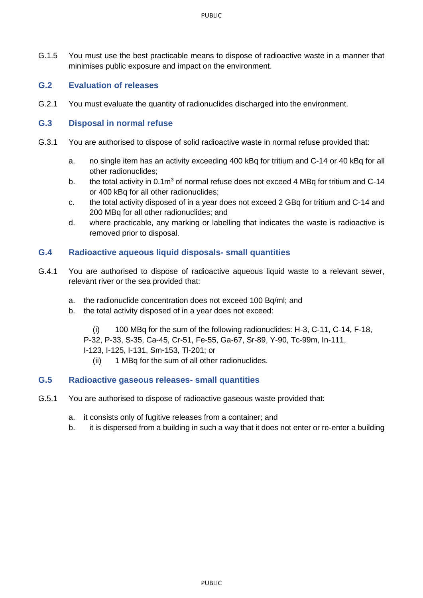G.1.5 You must use the best practicable means to dispose of radioactive waste in a manner that minimises public exposure and impact on the environment.

# <span id="page-12-0"></span>**G.2 Evaluation of releases**

G.2.1 You must evaluate the quantity of radionuclides discharged into the environment.

## <span id="page-12-1"></span>**G.3 Disposal in normal refuse**

- G.3.1 You are authorised to dispose of solid radioactive waste in normal refuse provided that:
	- a. no single item has an activity exceeding 400 kBq for tritium and C-14 or 40 kBq for all other radionuclides;
	- b. the total activity in 0.1m<sup>3</sup> of normal refuse does not exceed 4 MBq for tritium and C-14 or 400 kBq for all other radionuclides;
	- c. the total activity disposed of in a year does not exceed 2 GBq for tritium and C-14 and 200 MBq for all other radionuclides; and
	- d. where practicable, any marking or labelling that indicates the waste is radioactive is removed prior to disposal.

# <span id="page-12-2"></span>**G.4 Radioactive aqueous liquid disposals- small quantities**

- G.4.1 You are authorised to dispose of radioactive aqueous liquid waste to a relevant sewer, relevant river or the sea provided that:
	- a. the radionuclide concentration does not exceed 100 Bq/ml; and
	- b. the total activity disposed of in a year does not exceed:

(i) 100 MBq for the sum of the following radionuclides: H-3, C-11, C-14, F-18, P-32, P-33, S-35, Ca-45, Cr-51, Fe-55, Ga-67, Sr-89, Y-90, Tc-99m, In-111, I-123, I-125, I-131, Sm-153, Tl-201; or

(ii) 1 MBq for the sum of all other radionuclides.

## <span id="page-12-3"></span>**G.5 Radioactive gaseous releases- small quantities**

- G.5.1 You are authorised to dispose of radioactive gaseous waste provided that:
	- a. it consists only of fugitive releases from a container; and
	- b. it is dispersed from a building in such a way that it does not enter or re-enter a building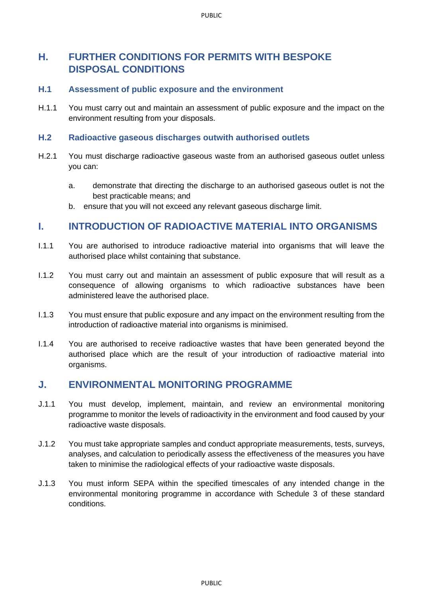# <span id="page-13-0"></span>**H. FURTHER CONDITIONS FOR PERMITS WITH BESPOKE DISPOSAL CONDITIONS**

## <span id="page-13-1"></span>**H.1 Assessment of public exposure and the environment**

H.1.1 You must carry out and maintain an assessment of public exposure and the impact on the environment resulting from your disposals.

#### <span id="page-13-2"></span>**H.2 Radioactive gaseous discharges outwith authorised outlets**

- H.2.1 You must discharge radioactive gaseous waste from an authorised gaseous outlet unless you can:
	- a. demonstrate that directing the discharge to an authorised gaseous outlet is not the best practicable means; and
	- b. ensure that you will not exceed any relevant gaseous discharge limit.

# <span id="page-13-3"></span>**I. INTRODUCTION OF RADIOACTIVE MATERIAL INTO ORGANISMS**

- I.1.1 You are authorised to introduce radioactive material into organisms that will leave the authorised place whilst containing that substance.
- I.1.2 You must carry out and maintain an assessment of public exposure that will result as a consequence of allowing organisms to which radioactive substances have been administered leave the authorised place.
- I.1.3 You must ensure that public exposure and any impact on the environment resulting from the introduction of radioactive material into organisms is minimised.
- I.1.4 You are authorised to receive radioactive wastes that have been generated beyond the authorised place which are the result of your introduction of radioactive material into organisms.

# <span id="page-13-4"></span>**J. ENVIRONMENTAL MONITORING PROGRAMME**

- J.1.1 You must develop, implement, maintain, and review an environmental monitoring programme to monitor the levels of radioactivity in the environment and food caused by your radioactive waste disposals.
- J.1.2 You must take appropriate samples and conduct appropriate measurements, tests, surveys, analyses, and calculation to periodically assess the effectiveness of the measures you have taken to minimise the radiological effects of your radioactive waste disposals.
- J.1.3 You must inform SEPA within the specified timescales of any intended change in the environmental monitoring programme in accordance with Schedule 3 of these standard conditions.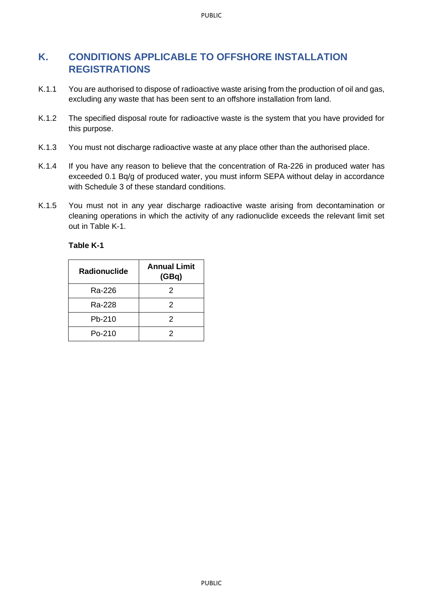# <span id="page-14-0"></span>**K. CONDITIONS APPLICABLE TO OFFSHORE INSTALLATION REGISTRATIONS**

- K.1.1 You are authorised to dispose of radioactive waste arising from the production of oil and gas, excluding any waste that has been sent to an offshore installation from land.
- K.1.2 The specified disposal route for radioactive waste is the system that you have provided for this purpose.
- K.1.3 You must not discharge radioactive waste at any place other than the authorised place.
- K.1.4 If you have any reason to believe that the concentration of Ra-226 in produced water has exceeded 0.1 Bq/g of produced water, you must inform SEPA without delay in accordance with Schedule 3 of these standard conditions.
- K.1.5 You must not in any year discharge radioactive waste arising from decontamination or cleaning operations in which the activity of any radionuclide exceeds the relevant limit set out in Table K-1.

# **Table K-1**

| <b>Radionuclide</b> | <b>Annual Limit</b><br>(GBq) |
|---------------------|------------------------------|
| Ra-226              | 2                            |
| Ra-228              | 2                            |
| Pb-210              | 2                            |
| $Po-210$            | 2                            |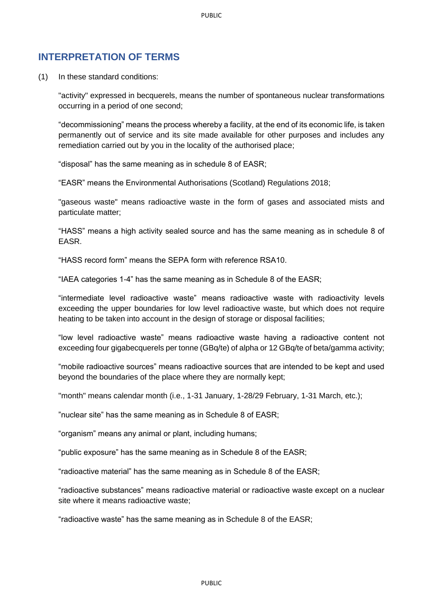# <span id="page-15-0"></span>**INTERPRETATION OF TERMS**

(1) In these standard conditions:

"activity" expressed in becquerels, means the number of spontaneous nuclear transformations occurring in a period of one second;

"decommissioning" means the process whereby a facility, at the end of its economic life, is taken permanently out of service and its site made available for other purposes and includes any remediation carried out by you in the locality of the authorised place;

"disposal" has the same meaning as in schedule 8 of EASR;

"EASR" means the Environmental Authorisations (Scotland) Regulations 2018;

"gaseous waste" means radioactive waste in the form of gases and associated mists and particulate matter;

"HASS" means a high activity sealed source and has the same meaning as in schedule 8 of EASR.

"HASS record form" means the SEPA form with reference RSA10.

"IAEA categories 1-4" has the same meaning as in Schedule 8 of the EASR;

"intermediate level radioactive waste" means radioactive waste with radioactivity levels exceeding the upper boundaries for low level radioactive waste, but which does not require heating to be taken into account in the design of storage or disposal facilities;

"low level radioactive waste" means radioactive waste having a radioactive content not exceeding four gigabecquerels per tonne (GBq/te) of alpha or 12 GBq/te of beta/gamma activity;

"mobile radioactive sources" means radioactive sources that are intended to be kept and used beyond the boundaries of the place where they are normally kept;

"month" means calendar month (i.e., 1-31 January, 1-28/29 February, 1-31 March, etc.);

"nuclear site" has the same meaning as in Schedule 8 of EASR;

"organism" means any animal or plant, including humans;

"public exposure" has the same meaning as in Schedule 8 of the EASR;

"radioactive material" has the same meaning as in Schedule 8 of the EASR;

"radioactive substances" means radioactive material or radioactive waste except on a nuclear site where it means radioactive waste;

"radioactive waste" has the same meaning as in Schedule 8 of the EASR;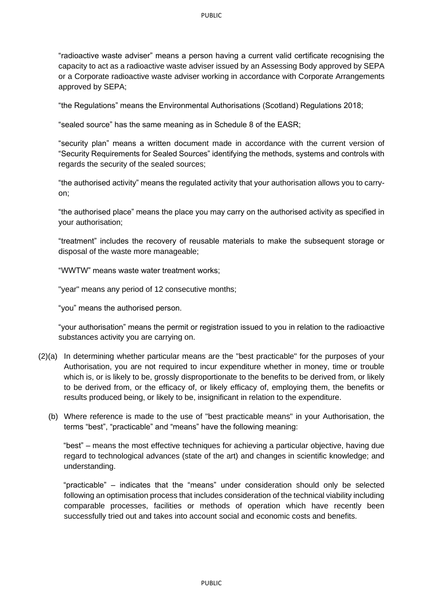"radioactive waste adviser" means a person having a current valid certificate recognising the capacity to act as a radioactive waste adviser issued by an Assessing Body approved by SEPA or a Corporate radioactive waste adviser working in accordance with Corporate Arrangements approved by SEPA;

"the Regulations" means the Environmental Authorisations (Scotland) Regulations 2018;

"sealed source" has the same meaning as in Schedule 8 of the EASR;

"security plan" means a written document made in accordance with the current version of "Security Requirements for Sealed Sources" identifying the methods, systems and controls with regards the security of the sealed sources;

"the authorised activity" means the regulated activity that your authorisation allows you to carryon;

"the authorised place" means the place you may carry on the authorised activity as specified in your authorisation;

"treatment" includes the recovery of reusable materials to make the subsequent storage or disposal of the waste more manageable;

"WWTW" means waste water treatment works;

"year" means any period of 12 consecutive months;

"you" means the authorised person.

"your authorisation" means the permit or registration issued to you in relation to the radioactive substances activity you are carrying on.

- (2)(a) In determining whether particular means are the "best practicable" for the purposes of your Authorisation, you are not required to incur expenditure whether in money, time or trouble which is, or is likely to be, grossly disproportionate to the benefits to be derived from, or likely to be derived from, or the efficacy of, or likely efficacy of, employing them, the benefits or results produced being, or likely to be, insignificant in relation to the expenditure.
	- (b) Where reference is made to the use of "best practicable means" in your Authorisation, the terms "best", "practicable" and "means" have the following meaning:

"best" – means the most effective techniques for achieving a particular objective, having due regard to technological advances (state of the art) and changes in scientific knowledge; and understanding.

"practicable" – indicates that the "means" under consideration should only be selected following an optimisation process that includes consideration of the technical viability including comparable processes, facilities or methods of operation which have recently been successfully tried out and takes into account social and economic costs and benefits.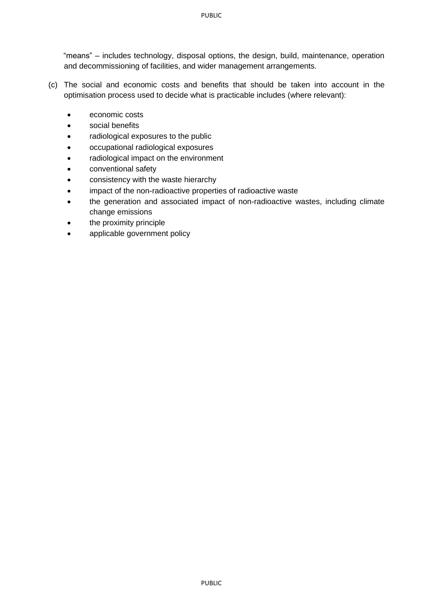"means" – includes technology, disposal options, the design, build, maintenance, operation and decommissioning of facilities, and wider management arrangements.

- (c) The social and economic costs and benefits that should be taken into account in the optimisation process used to decide what is practicable includes (where relevant):
	- economic costs
	- social benefits
	- radiological exposures to the public
	- occupational radiological exposures
	- radiological impact on the environment
	- conventional safety
	- consistency with the waste hierarchy
	- impact of the non-radioactive properties of radioactive waste
	- the generation and associated impact of non-radioactive wastes, including climate change emissions
	- the proximity principle
	- applicable government policy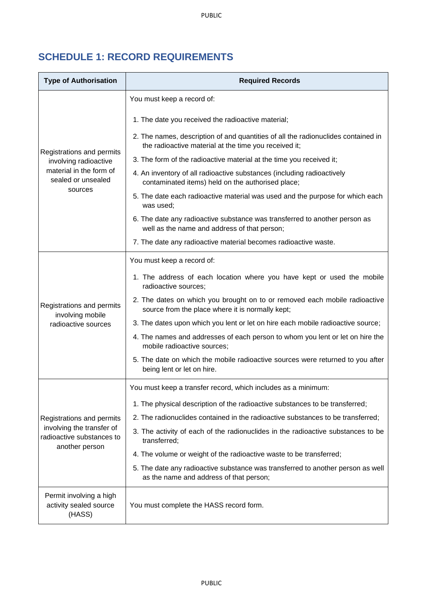# <span id="page-18-0"></span>**SCHEDULE 1: RECORD REQUIREMENTS**

| <b>Type of Authorisation</b>                                             | <b>Required Records</b>                                                                                                                    |  |  |
|--------------------------------------------------------------------------|--------------------------------------------------------------------------------------------------------------------------------------------|--|--|
|                                                                          | You must keep a record of:                                                                                                                 |  |  |
|                                                                          | 1. The date you received the radioactive material;                                                                                         |  |  |
|                                                                          | 2. The names, description of and quantities of all the radionuclides contained in<br>the radioactive material at the time you received it; |  |  |
| Registrations and permits<br>involving radioactive                       | 3. The form of the radioactive material at the time you received it;                                                                       |  |  |
| material in the form of<br>sealed or unsealed                            | 4. An inventory of all radioactive substances (including radioactively<br>contaminated items) held on the authorised place;                |  |  |
| sources                                                                  | 5. The date each radioactive material was used and the purpose for which each<br>was used;                                                 |  |  |
|                                                                          | 6. The date any radioactive substance was transferred to another person as<br>well as the name and address of that person;                 |  |  |
|                                                                          | 7. The date any radioactive material becomes radioactive waste.                                                                            |  |  |
|                                                                          | You must keep a record of:                                                                                                                 |  |  |
|                                                                          | 1. The address of each location where you have kept or used the mobile<br>radioactive sources;                                             |  |  |
| Registrations and permits<br>involving mobile                            | 2. The dates on which you brought on to or removed each mobile radioactive<br>source from the place where it is normally kept;             |  |  |
| radioactive sources                                                      | 3. The dates upon which you lent or let on hire each mobile radioactive source;                                                            |  |  |
|                                                                          | 4. The names and addresses of each person to whom you lent or let on hire the<br>mobile radioactive sources;                               |  |  |
|                                                                          | 5. The date on which the mobile radioactive sources were returned to you after<br>being lent or let on hire.                               |  |  |
|                                                                          | You must keep a transfer record, which includes as a minimum:                                                                              |  |  |
|                                                                          | 1. The physical description of the radioactive substances to be transferred;                                                               |  |  |
| Registrations and permits                                                | 2. The radionuclides contained in the radioactive substances to be transferred;                                                            |  |  |
| involving the transfer of<br>radioactive substances to<br>another person | 3. The activity of each of the radionuclides in the radioactive substances to be<br>transferred;                                           |  |  |
|                                                                          | 4. The volume or weight of the radioactive waste to be transferred;                                                                        |  |  |
|                                                                          | 5. The date any radioactive substance was transferred to another person as well<br>as the name and address of that person;                 |  |  |
| Permit involving a high<br>activity sealed source<br>(HASS)              | You must complete the HASS record form.                                                                                                    |  |  |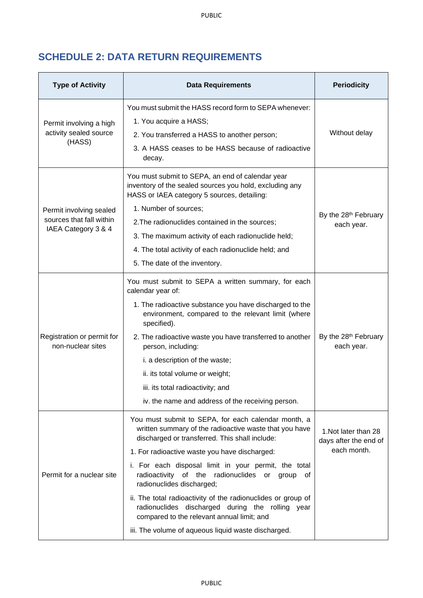# <span id="page-19-0"></span>**SCHEDULE 2: DATA RETURN REQUIREMENTS**

| <b>Type of Activity</b>                         | <b>Data Requirements</b>                                                                                                                                        | <b>Periodicity</b>                             |
|-------------------------------------------------|-----------------------------------------------------------------------------------------------------------------------------------------------------------------|------------------------------------------------|
|                                                 | You must submit the HASS record form to SEPA whenever:                                                                                                          |                                                |
| Permit involving a high                         | 1. You acquire a HASS;                                                                                                                                          |                                                |
| activity sealed source                          | 2. You transferred a HASS to another person;                                                                                                                    | Without delay                                  |
| (HASS)                                          | 3. A HASS ceases to be HASS because of radioactive<br>decay.                                                                                                    |                                                |
|                                                 | You must submit to SEPA, an end of calendar year<br>inventory of the sealed sources you hold, excluding any<br>HASS or IAEA category 5 sources, detailing:      |                                                |
| Permit involving sealed                         | 1. Number of sources;                                                                                                                                           | By the 28 <sup>th</sup> February               |
| sources that fall within                        | 2. The radionuclides contained in the sources;                                                                                                                  | each year.                                     |
| IAEA Category 3 & 4                             | 3. The maximum activity of each radionuclide held;                                                                                                              |                                                |
|                                                 | 4. The total activity of each radionuclide held; and                                                                                                            |                                                |
|                                                 | 5. The date of the inventory.                                                                                                                                   |                                                |
|                                                 | You must submit to SEPA a written summary, for each<br>calendar year of:                                                                                        |                                                |
|                                                 | 1. The radioactive substance you have discharged to the<br>environment, compared to the relevant limit (where<br>specified).                                    |                                                |
| Registration or permit for<br>non-nuclear sites | 2. The radioactive waste you have transferred to another<br>person, including:                                                                                  | By the 28 <sup>th</sup> February<br>each year. |
|                                                 | i. a description of the waste;                                                                                                                                  |                                                |
|                                                 | ii. its total volume or weight;                                                                                                                                 |                                                |
|                                                 | iii. its total radioactivity; and                                                                                                                               |                                                |
|                                                 | iv. the name and address of the receiving person.                                                                                                               |                                                |
|                                                 | You must submit to SEPA, for each calendar month, a<br>written summary of the radioactive waste that you have<br>discharged or transferred. This shall include: | 1. Not later than 28<br>days after the end of  |
|                                                 | 1. For radioactive waste you have discharged:                                                                                                                   | each month.                                    |
| Permit for a nuclear site                       | i. For each disposal limit in your permit, the total<br>radioactivity of the radionuclides or<br>group<br>of<br>radionuclides discharged;                       |                                                |
|                                                 | ii. The total radioactivity of the radionuclides or group of<br>radionuclides discharged during the rolling year<br>compared to the relevant annual limit; and  |                                                |
|                                                 | iii. The volume of aqueous liquid waste discharged.                                                                                                             |                                                |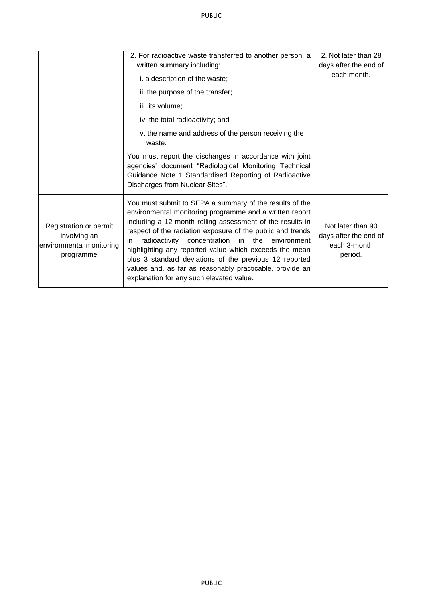|                                                                                 | 2. For radioactive waste transferred to another person, a                                                                                                                                                                                                                                                                                                                                                                                                                                                                                   | 2. Not later than 28                                                  |
|---------------------------------------------------------------------------------|---------------------------------------------------------------------------------------------------------------------------------------------------------------------------------------------------------------------------------------------------------------------------------------------------------------------------------------------------------------------------------------------------------------------------------------------------------------------------------------------------------------------------------------------|-----------------------------------------------------------------------|
|                                                                                 | written summary including:                                                                                                                                                                                                                                                                                                                                                                                                                                                                                                                  | days after the end of                                                 |
|                                                                                 | i. a description of the waste;                                                                                                                                                                                                                                                                                                                                                                                                                                                                                                              | each month.                                                           |
|                                                                                 | ii. the purpose of the transfer;                                                                                                                                                                                                                                                                                                                                                                                                                                                                                                            |                                                                       |
|                                                                                 | iii. its volume;                                                                                                                                                                                                                                                                                                                                                                                                                                                                                                                            |                                                                       |
|                                                                                 | iv. the total radioactivity; and                                                                                                                                                                                                                                                                                                                                                                                                                                                                                                            |                                                                       |
|                                                                                 | v. the name and address of the person receiving the<br>waste.                                                                                                                                                                                                                                                                                                                                                                                                                                                                               |                                                                       |
|                                                                                 | You must report the discharges in accordance with joint<br>agencies' document "Radiological Monitoring Technical<br>Guidance Note 1 Standardised Reporting of Radioactive<br>Discharges from Nuclear Sites".                                                                                                                                                                                                                                                                                                                                |                                                                       |
| Registration or permit<br>involving an<br>environmental monitoring<br>programme | You must submit to SEPA a summary of the results of the<br>environmental monitoring programme and a written report<br>including a 12-month rolling assessment of the results in<br>respect of the radiation exposure of the public and trends<br>radioactivity<br>concentration<br>in the<br>environment<br>in.<br>highlighting any reported value which exceeds the mean<br>plus 3 standard deviations of the previous 12 reported<br>values and, as far as reasonably practicable, provide an<br>explanation for any such elevated value. | Not later than 90<br>days after the end of<br>each 3-month<br>period. |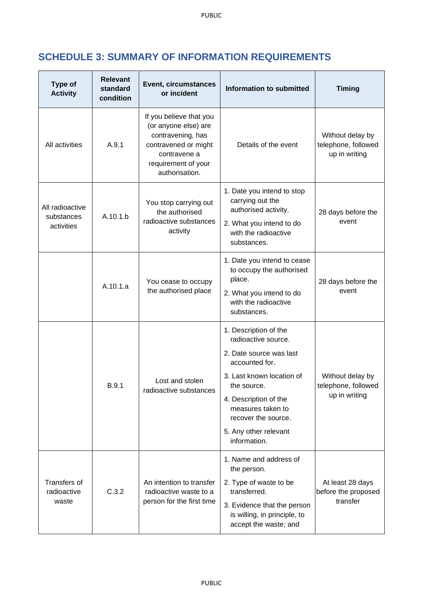# <span id="page-21-0"></span>**SCHEDULE 3: SUMMARY OF INFORMATION REQUIREMENTS**

| <b>Type of</b><br><b>Activity</b>           | <b>Relevant</b><br>standard<br>condition | <b>Event, circumstances</b><br>or incident                                                                                                            | <b>Information to submitted</b>                                                                                                                                                                                                                     | <b>Timing</b>                                            |
|---------------------------------------------|------------------------------------------|-------------------------------------------------------------------------------------------------------------------------------------------------------|-----------------------------------------------------------------------------------------------------------------------------------------------------------------------------------------------------------------------------------------------------|----------------------------------------------------------|
| All activities                              | A.9.1                                    | If you believe that you<br>(or anyone else) are<br>contravening, has<br>contravened or might<br>contravene a<br>requirement of your<br>authorisation. | Details of the event                                                                                                                                                                                                                                | Without delay by<br>telephone, followed<br>up in writing |
| All radioactive<br>substances<br>activities | A.10.1.b                                 | You stop carrying out<br>the authorised<br>radioactive substances<br>activity                                                                         | 1. Date you intend to stop<br>carrying out the<br>authorised activity.<br>2. What you intend to do<br>with the radioactive<br>substances.                                                                                                           | 28 days before the<br>event                              |
|                                             | A.10.1.a                                 | You cease to occupy<br>the authorised place                                                                                                           | 1. Date you intend to cease<br>to occupy the authorised<br>place.<br>2. What you intend to do<br>with the radioactive<br>substances.                                                                                                                | 28 days before the<br>event                              |
|                                             | B.9.1                                    | Lost and stolen<br>radioactive substances                                                                                                             | 1. Description of the<br>radioactive source.<br>2. Date source was last<br>accounted for.<br>3. Last known location of<br>the source.<br>4. Description of the<br>measures taken to<br>recover the source.<br>5. Any other relevant<br>information. | Without delay by<br>telephone, followed<br>up in writing |
| Transfers of<br>radioactive<br>waste        | C.3.2                                    | An intention to transfer<br>radioactive waste to a<br>person for the first time                                                                       | 1. Name and address of<br>the person.<br>2. Type of waste to be<br>transferred.<br>3. Evidence that the person<br>is willing, in principle, to<br>accept the waste; and                                                                             | At least 28 days<br>before the proposed<br>transfer      |